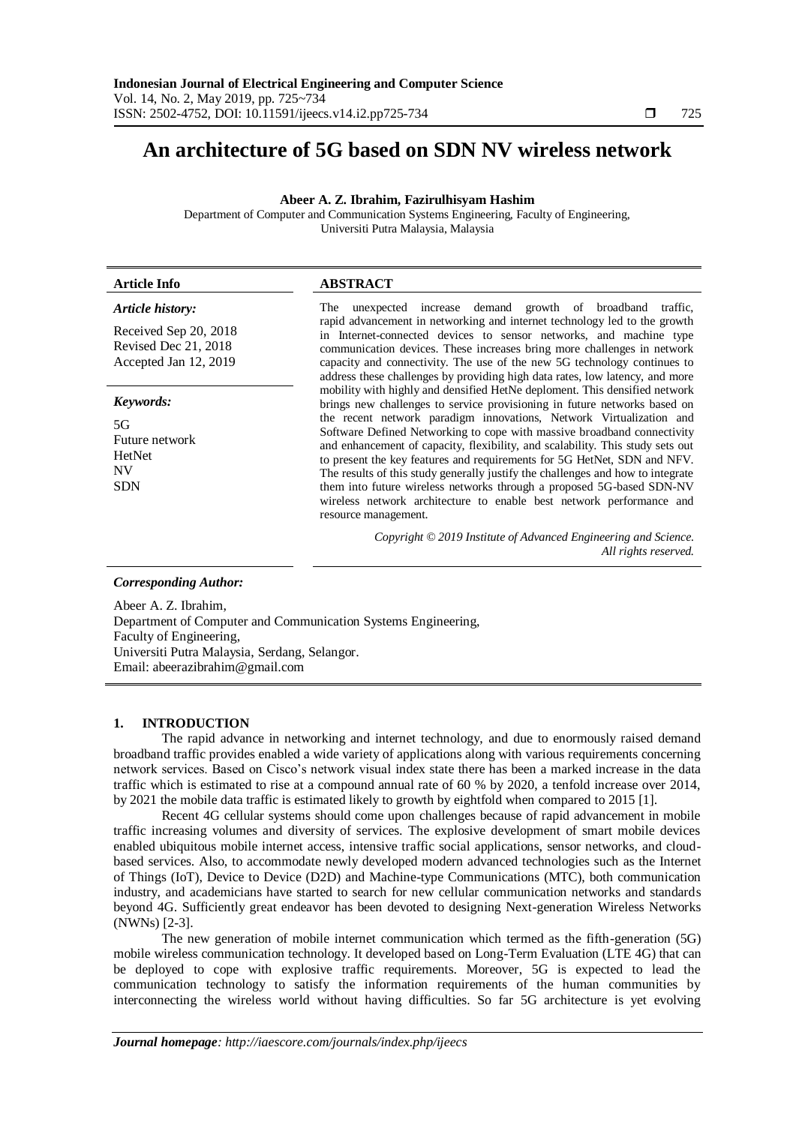# **An architecture of 5G based on SDN NV wireless network**

**Abeer A. Z. Ibrahim, Fazirulhisyam Hashim**

Department of Computer and Communication Systems Engineering, Faculty of Engineering, Universiti Putra Malaysia, Malaysia

| <b>Article Info</b>                                                                        | <b>ABSTRACT</b>                                                                                                                                                                                                                                                                                                                                                                                                                                                                                                                                                                                                                                                                                                                     |
|--------------------------------------------------------------------------------------------|-------------------------------------------------------------------------------------------------------------------------------------------------------------------------------------------------------------------------------------------------------------------------------------------------------------------------------------------------------------------------------------------------------------------------------------------------------------------------------------------------------------------------------------------------------------------------------------------------------------------------------------------------------------------------------------------------------------------------------------|
| Article history:<br>Received Sep 20, 2018<br>Revised Dec 21, 2018<br>Accepted Jan 12, 2019 | unexpected increase demand growth of broadband<br>traffic.<br>The<br>rapid advancement in networking and internet technology led to the growth<br>in Internet-connected devices to sensor networks, and machine type<br>communication devices. These increases bring more challenges in network<br>capacity and connectivity. The use of the new 5G technology continues to<br>address these challenges by providing high data rates, low latency, and more                                                                                                                                                                                                                                                                         |
| Keywords:<br>5G<br>Future network<br><b>HetNet</b><br>NV<br><b>SDN</b>                     | mobility with highly and densified HetNe deploment. This densified network<br>brings new challenges to service provisioning in future networks based on<br>the recent network paradigm innovations, Network Virtualization and<br>Software Defined Networking to cope with massive broadband connectivity<br>and enhancement of capacity, flexibility, and scalability. This study sets out<br>to present the key features and requirements for 5G HetNet, SDN and NFV.<br>The results of this study generally justify the challenges and how to integrate<br>them into future wireless networks through a proposed 5G-based SDN-NV<br>wireless network architecture to enable best network performance and<br>resource management. |
|                                                                                            | Copyright © 2019 Institute of Advanced Engineering and Science.<br>All rights reserved.                                                                                                                                                                                                                                                                                                                                                                                                                                                                                                                                                                                                                                             |
| <b>Corresponding Author:</b>                                                               |                                                                                                                                                                                                                                                                                                                                                                                                                                                                                                                                                                                                                                                                                                                                     |

Abeer A. Z. Ibrahim, Department of Computer and Communication Systems Engineering, Faculty of Engineering, Universiti Putra Malaysia, Serdang, Selangor. Email: abeerazibrahim@gmail.com

# **1. INTRODUCTION**

The rapid advance in networking and internet technology, and due to enormously raised demand broadband traffic provides enabled a wide variety of applications along with various requirements concerning network services. Based on Cisco"s network visual index state there has been a marked increase in the data traffic which is estimated to rise at a compound annual rate of 60 % by 2020, a tenfold increase over 2014, by 2021 the mobile data traffic is estimated likely to growth by eightfold when compared to 2015 [1].

Recent 4G cellular systems should come upon challenges because of rapid advancement in mobile traffic increasing volumes and diversity of services. The explosive development of smart mobile devices enabled ubiquitous mobile internet access, intensive traffic social applications, sensor networks, and cloudbased services. Also, to accommodate newly developed modern advanced technologies such as the Internet of Things (IoT), Device to Device (D2D) and Machine-type Communications (MTC), both communication industry, and academicians have started to search for new cellular communication networks and standards beyond 4G. Sufficiently great endeavor has been devoted to designing Next-generation Wireless Networks (NWNs) [2-3].

The new generation of mobile internet communication which termed as the fifth-generation (5G) mobile wireless communication technology. It developed based on Long-Term Evaluation (LTE 4G) that can be deployed to cope with explosive traffic requirements. Moreover, 5G is expected to lead the communication technology to satisfy the information requirements of the human communities by interconnecting the wireless world without having difficulties. So far 5G architecture is yet evolving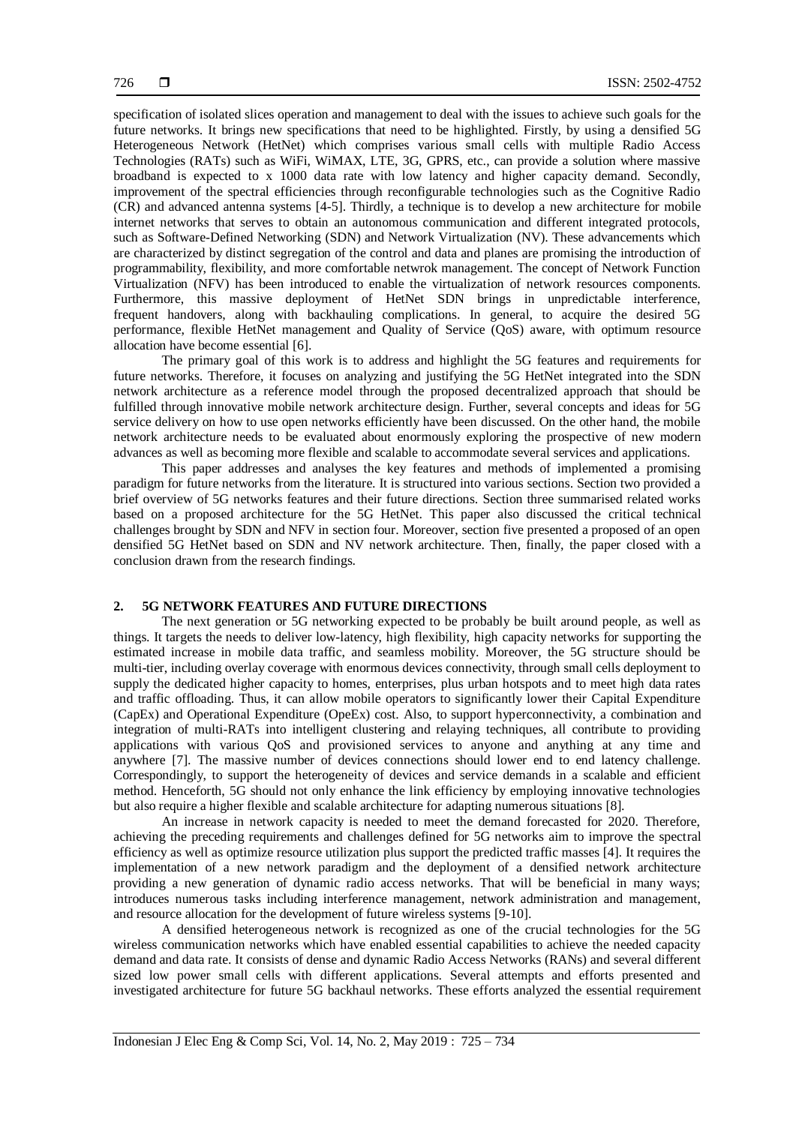specification of isolated slices operation and management to deal with the issues to achieve such goals for the future networks. It brings new specifications that need to be highlighted. Firstly, by using a densified 5G Heterogeneous Network (HetNet) which comprises various small cells with multiple Radio Access Technologies (RATs) such as WiFi, WiMAX, LTE, 3G, GPRS, etc., can provide a solution where massive broadband is expected to x 1000 data rate with low latency and higher capacity demand. Secondly, improvement of the spectral efficiencies through reconfigurable technologies such as the Cognitive Radio (CR) and advanced antenna systems [4-5]. Thirdly, a technique is to develop a new architecture for mobile internet networks that serves to obtain an autonomous communication and different integrated protocols, such as Software-Defined Networking (SDN) and Network Virtualization (NV). These advancements which are characterized by distinct segregation of the control and data and planes are promising the introduction of programmability, flexibility, and more comfortable netwrok management. The concept of Network Function Virtualization (NFV) has been introduced to enable the virtualization of network resources components. Furthermore, this massive deployment of HetNet SDN brings in unpredictable interference, frequent handovers, along with backhauling complications. In general, to acquire the desired 5G performance, flexible HetNet management and Quality of Service (QoS) aware, with optimum resource allocation have become essential [6].

The primary goal of this work is to address and highlight the 5G features and requirements for future networks. Therefore, it focuses on analyzing and justifying the 5G HetNet integrated into the SDN network architecture as a reference model through the proposed decentralized approach that should be fulfilled through innovative mobile network architecture design. Further, several concepts and ideas for 5G service delivery on how to use open networks efficiently have been discussed. On the other hand, the mobile network architecture needs to be evaluated about enormously exploring the prospective of new modern advances as well as becoming more flexible and scalable to accommodate several services and applications.

This paper addresses and analyses the key features and methods of implemented a promising paradigm for future networks from the literature. It is structured into various sections. Section two provided a brief overview of 5G networks features and their future directions. Section three summarised related works based on a proposed architecture for the 5G HetNet. This paper also discussed the critical technical challenges brought by SDN and NFV in section four. Moreover, section five presented a proposed of an open densified 5G HetNet based on SDN and NV network architecture. Then, finally, the paper closed with a conclusion drawn from the research findings.

#### **2. 5G NETWORK FEATURES AND FUTURE DIRECTIONS**

The next generation or 5G networking expected to be probably be built around people, as well as things. It targets the needs to deliver low-latency, high flexibility, high capacity networks for supporting the estimated increase in mobile data traffic, and seamless mobility. Moreover, the 5G structure should be multi-tier, including overlay coverage with enormous devices connectivity, through small cells deployment to supply the dedicated higher capacity to homes, enterprises, plus urban hotspots and to meet high data rates and traffic offloading. Thus, it can allow mobile operators to significantly lower their Capital Expenditure (CapEx) and Operational Expenditure (OpeEx) cost. Also, to support hyperconnectivity, a combination and integration of multi-RATs into intelligent clustering and relaying techniques, all contribute to providing applications with various QoS and provisioned services to anyone and anything at any time and anywhere [7]. The massive number of devices connections should lower end to end latency challenge. Correspondingly, to support the heterogeneity of devices and service demands in a scalable and efficient method. Henceforth, 5G should not only enhance the link efficiency by employing innovative technologies but also require a higher flexible and scalable architecture for adapting numerous situations [8].

An increase in network capacity is needed to meet the demand forecasted for 2020. Therefore, achieving the preceding requirements and challenges defined for 5G networks aim to improve the spectral efficiency as well as optimize resource utilization plus support the predicted traffic masses [4]. It requires the implementation of a new network paradigm and the deployment of a densified network architecture providing a new generation of dynamic radio access networks. That will be beneficial in many ways; introduces numerous tasks including interference management, network administration and management, and resource allocation for the development of future wireless systems [9-10].

A densified heterogeneous network is recognized as one of the crucial technologies for the 5G wireless communication networks which have enabled essential capabilities to achieve the needed capacity demand and data rate. It consists of dense and dynamic Radio Access Networks (RANs) and several different sized low power small cells with different applications. Several attempts and efforts presented and investigated architecture for future 5G backhaul networks. These efforts analyzed the essential requirement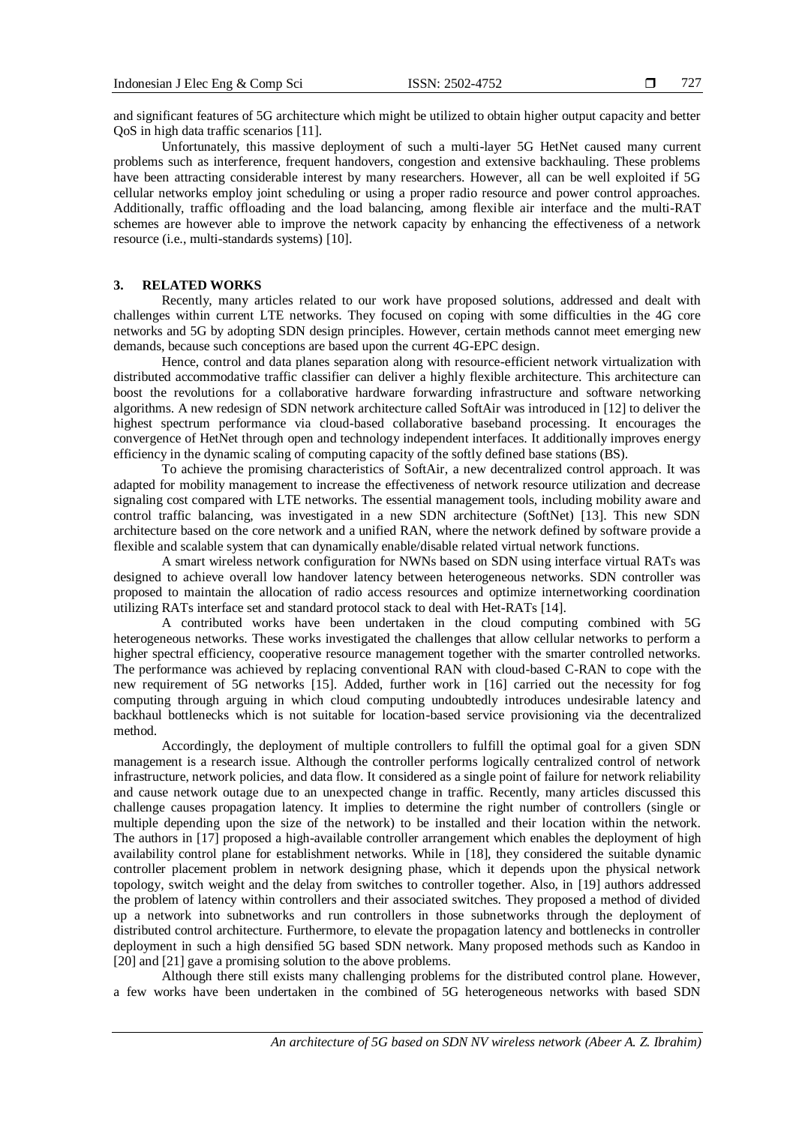and significant features of 5G architecture which might be utilized to obtain higher output capacity and better QoS in high data traffic scenarios [11].

Unfortunately, this massive deployment of such a multi-layer 5G HetNet caused many current problems such as interference, frequent handovers, congestion and extensive backhauling. These problems have been attracting considerable interest by many researchers. However, all can be well exploited if 5G cellular networks employ joint scheduling or using a proper radio resource and power control approaches. Additionally, traffic offloading and the load balancing, among flexible air interface and the multi-RAT schemes are however able to improve the network capacity by enhancing the effectiveness of a network resource (i.e., multi-standards systems) [10].

# **3. RELATED WORKS**

Recently, many articles related to our work have proposed solutions, addressed and dealt with challenges within current LTE networks. They focused on coping with some difficulties in the 4G core networks and 5G by adopting SDN design principles. However, certain methods cannot meet emerging new demands, because such conceptions are based upon the current 4G-EPC design.

Hence, control and data planes separation along with resource-efficient network virtualization with distributed accommodative traffic classifier can deliver a highly flexible architecture. This architecture can boost the revolutions for a collaborative hardware forwarding infrastructure and software networking algorithms. A new redesign of SDN network architecture called SoftAir was introduced in [12] to deliver the highest spectrum performance via cloud-based collaborative baseband processing. It encourages the convergence of HetNet through open and technology independent interfaces. It additionally improves energy efficiency in the dynamic scaling of computing capacity of the softly defined base stations (BS).

To achieve the promising characteristics of SoftAir, a new decentralized control approach. It was adapted for mobility management to increase the effectiveness of network resource utilization and decrease signaling cost compared with LTE networks. The essential management tools, including mobility aware and control traffic balancing, was investigated in a new SDN architecture (SoftNet) [13]. This new SDN architecture based on the core network and a unified RAN, where the network defined by software provide a flexible and scalable system that can dynamically enable/disable related virtual network functions.

A smart wireless network configuration for NWNs based on SDN using interface virtual RATs was designed to achieve overall low handover latency between heterogeneous networks. SDN controller was proposed to maintain the allocation of radio access resources and optimize internetworking coordination utilizing RATs interface set and standard protocol stack to deal with Het-RATs [14].

A contributed works have been undertaken in the cloud computing combined with 5G heterogeneous networks. These works investigated the challenges that allow cellular networks to perform a higher spectral efficiency, cooperative resource management together with the smarter controlled networks. The performance was achieved by replacing conventional RAN with cloud-based C-RAN to cope with the new requirement of 5G networks [15]. Added, further work in [16] carried out the necessity for fog computing through arguing in which cloud computing undoubtedly introduces undesirable latency and backhaul bottlenecks which is not suitable for location-based service provisioning via the decentralized method.

Accordingly, the deployment of multiple controllers to fulfill the optimal goal for a given SDN management is a research issue. Although the controller performs logically centralized control of network infrastructure, network policies, and data flow. It considered as a single point of failure for network reliability and cause network outage due to an unexpected change in traffic. Recently, many articles discussed this challenge causes propagation latency. It implies to determine the right number of controllers (single or multiple depending upon the size of the network) to be installed and their location within the network. The authors in [17] proposed a high-available controller arrangement which enables the deployment of high availability control plane for establishment networks. While in [18], they considered the suitable dynamic controller placement problem in network designing phase, which it depends upon the physical network topology, switch weight and the delay from switches to controller together. Also, in [19] authors addressed the problem of latency within controllers and their associated switches. They proposed a method of divided up a network into subnetworks and run controllers in those subnetworks through the deployment of distributed control architecture. Furthermore, to elevate the propagation latency and bottlenecks in controller deployment in such a high densified 5G based SDN network. Many proposed methods such as Kandoo in [20] and [21] gave a promising solution to the above problems.

Although there still exists many challenging problems for the distributed control plane. However, a few works have been undertaken in the combined of 5G heterogeneous networks with based SDN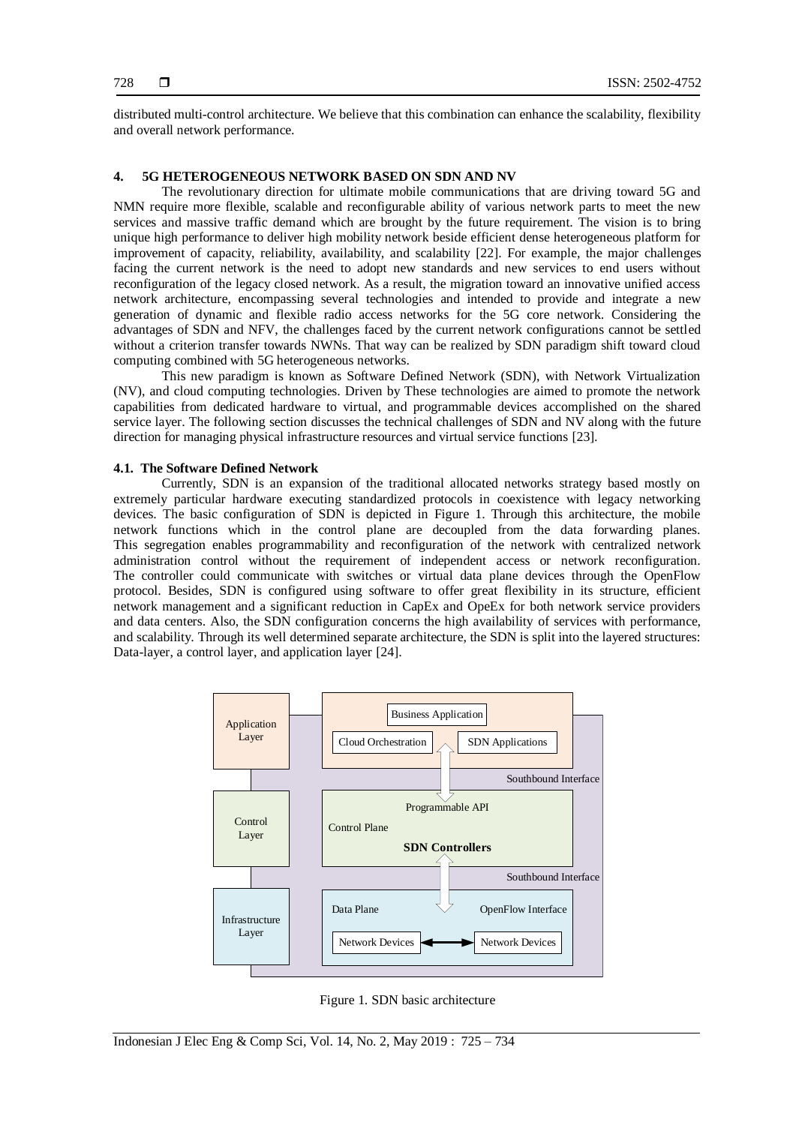distributed multi-control architecture. We believe that this combination can enhance the scalability, flexibility and overall network performance.

# **4. 5G HETEROGENEOUS NETWORK BASED ON SDN AND NV**

The revolutionary direction for ultimate mobile communications that are driving toward 5G and NMN require more flexible, scalable and reconfigurable ability of various network parts to meet the new services and massive traffic demand which are brought by the future requirement. The vision is to bring unique high performance to deliver high mobility network beside efficient dense heterogeneous platform for improvement of capacity, reliability, availability, and scalability [22]. For example, the major challenges facing the current network is the need to adopt new standards and new services to end users without reconfiguration of the legacy closed network. As a result, the migration toward an innovative unified access network architecture, encompassing several technologies and intended to provide and integrate a new generation of dynamic and flexible radio access networks for the 5G core network. Considering the advantages of SDN and NFV, the challenges faced by the current network configurations cannot be settled without a criterion transfer towards NWNs. That way can be realized by SDN paradigm shift toward cloud computing combined with 5G heterogeneous networks.

This new paradigm is known as Software Defined Network (SDN), with Network Virtualization (NV), and cloud computing technologies. Driven by These technologies are aimed to promote the network capabilities from dedicated hardware to virtual, and programmable devices accomplished on the shared service layer. The following section discusses the technical challenges of SDN and NV along with the future direction for managing physical infrastructure resources and virtual service functions [23].

#### **4.1. The Software Defined Network**

Currently, SDN is an expansion of the traditional allocated networks strategy based mostly on extremely particular hardware executing standardized protocols in coexistence with legacy networking devices. The basic configuration of SDN is depicted in Figure 1. Through this architecture, the mobile network functions which in the control plane are decoupled from the data forwarding planes. This segregation enables programmability and reconfiguration of the network with centralized network administration control without the requirement of independent access or network reconfiguration. The controller could communicate with switches or virtual data plane devices through the OpenFlow protocol. Besides, SDN is configured using software to offer great flexibility in its structure, efficient network management and a significant reduction in CapEx and OpeEx for both network service providers and data centers. Also, the SDN configuration concerns the high availability of services with performance, and scalability. Through its well determined separate architecture, the SDN is split into the layered structures: Data-layer, a control layer, and application layer [24].



Figure 1. SDN basic architecture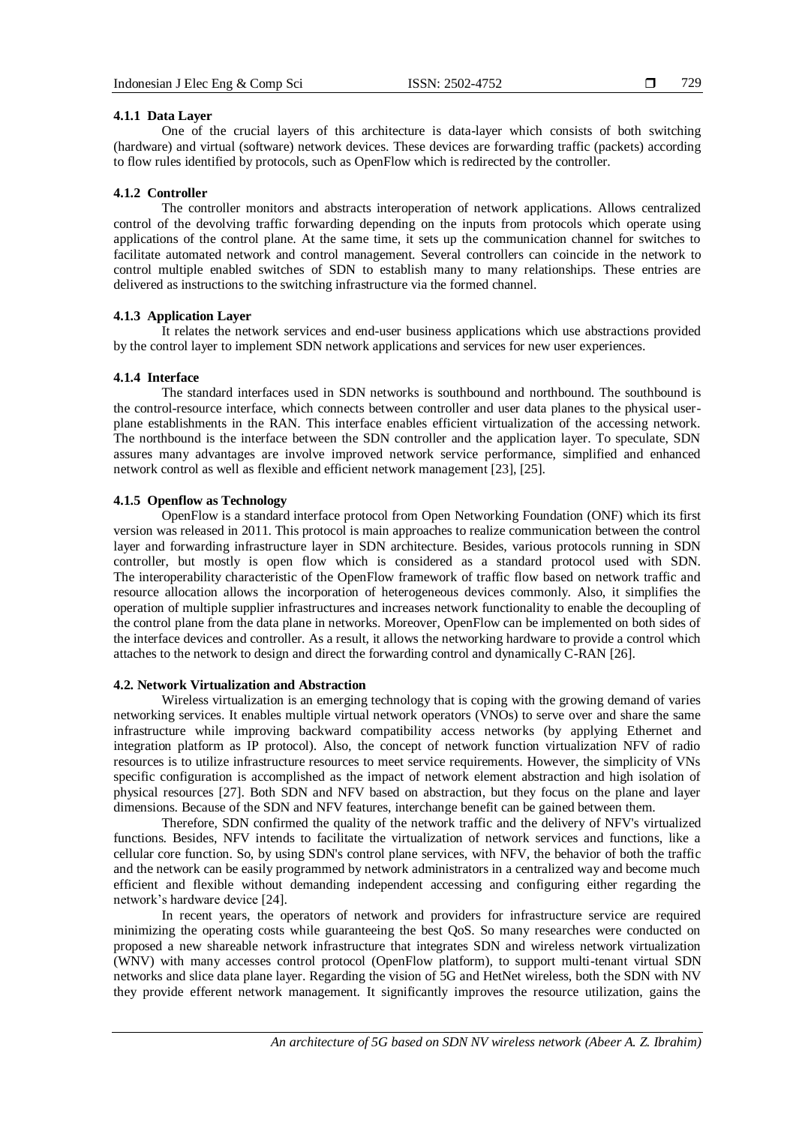#### **4.1.1 Data Layer**

One of the crucial layers of this architecture is data-layer which consists of both switching (hardware) and virtual (software) network devices. These devices are forwarding traffic (packets) according to flow rules identified by protocols, such as OpenFlow which is redirected by the controller.

### **4.1.2 Controller**

The controller monitors and abstracts interoperation of network applications. Allows centralized control of the devolving traffic forwarding depending on the inputs from protocols which operate using applications of the control plane. At the same time, it sets up the communication channel for switches to facilitate automated network and control management. Several controllers can coincide in the network to control multiple enabled switches of SDN to establish many to many relationships. These entries are delivered as instructions to the switching infrastructure via the formed channel.

# **4.1.3 Application Layer**

It relates the network services and end-user business applications which use abstractions provided by the control layer to implement SDN network applications and services for new user experiences.

### **4.1.4 Interface**

The standard interfaces used in SDN networks is southbound and northbound. The southbound is the control-resource interface, which connects between controller and user data planes to the physical userplane establishments in the RAN. This interface enables efficient virtualization of the accessing network. The northbound is the interface between the SDN controller and the application layer. To speculate, SDN assures many advantages are involve improved network service performance, simplified and enhanced network control as well as flexible and efficient network management [23], [25].

# **4.1.5 Openflow as Technology**

OpenFlow is a standard interface protocol from Open Networking Foundation (ONF) which its first version was released in 2011. This protocol is main approaches to realize communication between the control layer and forwarding infrastructure layer in SDN architecture. Besides, various protocols running in SDN controller, but mostly is open flow which is considered as a standard protocol used with SDN. The interoperability characteristic of the OpenFlow framework of traffic flow based on network traffic and resource allocation allows the incorporation of heterogeneous devices commonly. Also, it simplifies the operation of multiple supplier infrastructures and increases network functionality to enable the decoupling of the control plane from the data plane in networks. Moreover, OpenFlow can be implemented on both sides of the interface devices and controller. As a result, it allows the networking hardware to provide a control which attaches to the network to design and direct the forwarding control and dynamically C-RAN [26].

# **4.2. Network Virtualization and Abstraction**

Wireless virtualization is an emerging technology that is coping with the growing demand of varies networking services. It enables multiple virtual network operators (VNOs) to serve over and share the same infrastructure while improving backward compatibility access networks (by applying Ethernet and integration platform as IP protocol). Also, the concept of network function virtualization NFV of radio resources is to utilize infrastructure resources to meet service requirements. However, the simplicity of VNs specific configuration is accomplished as the impact of network element abstraction and high isolation of physical resources [27]. Both SDN and NFV based on abstraction, but they focus on the plane and layer dimensions. Because of the SDN and NFV features, interchange benefit can be gained between them.

Therefore, SDN confirmed the quality of the network traffic and the delivery of NFV's virtualized functions. Besides, NFV intends to facilitate the virtualization of network services and functions, like a cellular core function. So, by using SDN's control plane services, with NFV, the behavior of both the traffic and the network can be easily programmed by network administrators in a centralized way and become much efficient and flexible without demanding independent accessing and configuring either regarding the network"s hardware device [24].

In recent years, the operators of network and providers for infrastructure service are required minimizing the operating costs while guaranteeing the best QoS. So many researches were conducted on proposed a new shareable network infrastructure that integrates SDN and wireless network virtualization (WNV) with many accesses control protocol (OpenFlow platform), to support multi-tenant virtual SDN networks and slice data plane layer. Regarding the vision of 5G and HetNet wireless, both the SDN with NV they provide efferent network management. It significantly improves the resource utilization, gains the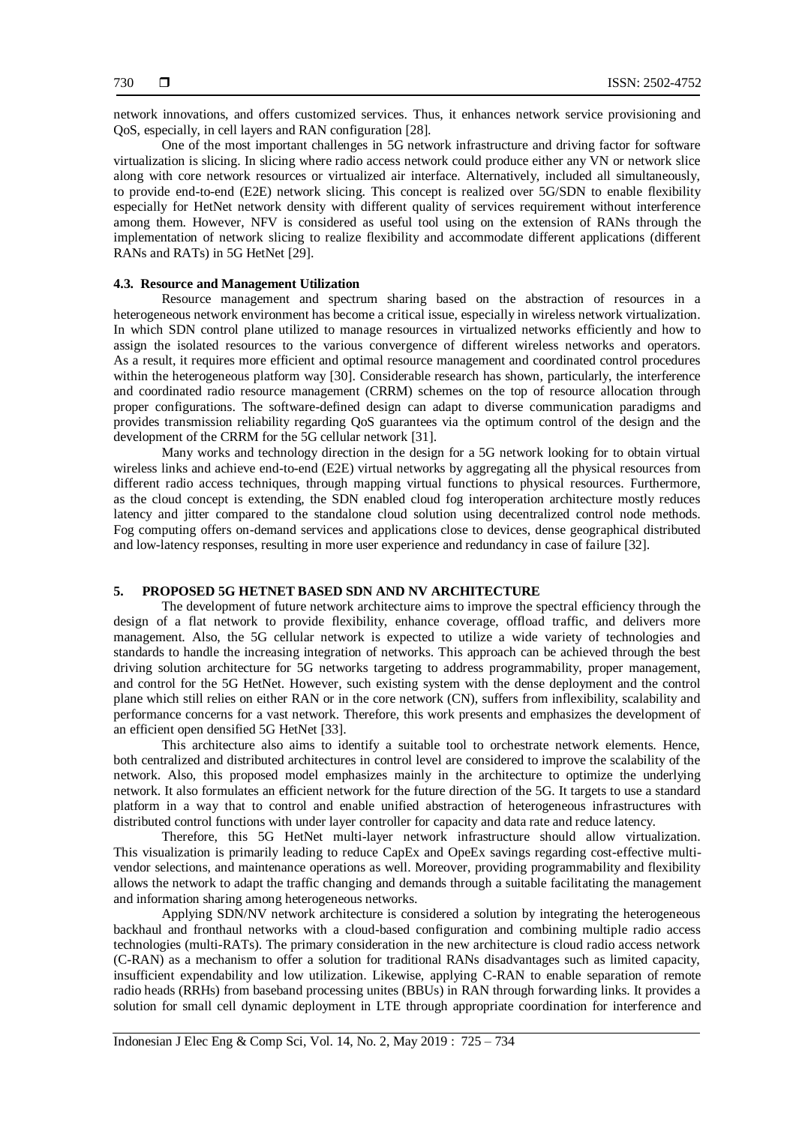network innovations, and offers customized services. Thus, it enhances network service provisioning and QoS, especially, in cell layers and RAN configuration [28].

One of the most important challenges in 5G network infrastructure and driving factor for software virtualization is slicing. In slicing where radio access network could produce either any VN or network slice along with core network resources or virtualized air interface. Alternatively, included all simultaneously, to provide end-to-end (E2E) network slicing. This concept is realized over 5G/SDN to enable flexibility especially for HetNet network density with different quality of services requirement without interference among them. However, NFV is considered as useful tool using on the extension of RANs through the implementation of network slicing to realize flexibility and accommodate different applications (different RANs and RATs) in 5G HetNet [29].

#### **4.3. Resource and Management Utilization**

Resource management and spectrum sharing based on the abstraction of resources in a heterogeneous network environment has become a critical issue, especially in wireless network virtualization. In which SDN control plane utilized to manage resources in virtualized networks efficiently and how to assign the isolated resources to the various convergence of different wireless networks and operators. As a result, it requires more efficient and optimal resource management and coordinated control procedures within the heterogeneous platform way [30]. Considerable research has shown, particularly, the interference and coordinated radio resource management (CRRM) schemes on the top of resource allocation through proper configurations. The software-defined design can adapt to diverse communication paradigms and provides transmission reliability regarding QoS guarantees via the optimum control of the design and the development of the CRRM for the 5G cellular network [31].

Many works and technology direction in the design for a 5G network looking for to obtain virtual wireless links and achieve end-to-end (E2E) virtual networks by aggregating all the physical resources from different radio access techniques, through mapping virtual functions to physical resources. Furthermore, as the cloud concept is extending, the SDN enabled cloud fog interoperation architecture mostly reduces latency and jitter compared to the standalone cloud solution using decentralized control node methods. Fog computing offers on-demand services and applications close to devices, dense geographical distributed and low-latency responses, resulting in more user experience and redundancy in case of failure [32].

# **5. PROPOSED 5G HETNET BASED SDN AND NV ARCHITECTURE**

The development of future network architecture aims to improve the spectral efficiency through the design of a flat network to provide flexibility, enhance coverage, offload traffic, and delivers more management. Also, the 5G cellular network is expected to utilize a wide variety of technologies and standards to handle the increasing integration of networks. This approach can be achieved through the best driving solution architecture for 5G networks targeting to address programmability, proper management, and control for the 5G HetNet. However, such existing system with the dense deployment and the control plane which still relies on either RAN or in the core network (CN), suffers from inflexibility, scalability and performance concerns for a vast network. Therefore, this work presents and emphasizes the development of an efficient open densified 5G HetNet [33].

This architecture also aims to identify a suitable tool to orchestrate network elements. Hence, both centralized and distributed architectures in control level are considered to improve the scalability of the network. Also, this proposed model emphasizes mainly in the architecture to optimize the underlying network. It also formulates an efficient network for the future direction of the 5G. It targets to use a standard platform in a way that to control and enable unified abstraction of heterogeneous infrastructures with distributed control functions with under layer controller for capacity and data rate and reduce latency.

Therefore, this 5G HetNet multi-layer network infrastructure should allow virtualization. This visualization is primarily leading to reduce CapEx and OpeEx savings regarding cost-effective multivendor selections, and maintenance operations as well. Moreover, providing programmability and flexibility allows the network to adapt the traffic changing and demands through a suitable facilitating the management and information sharing among heterogeneous networks.

Applying SDN/NV network architecture is considered a solution by integrating the heterogeneous backhaul and fronthaul networks with a cloud-based configuration and combining multiple radio access technologies (multi-RATs). The primary consideration in the new architecture is cloud radio access network (C-RAN) as a mechanism to offer a solution for traditional RANs disadvantages such as limited capacity, insufficient expendability and low utilization. Likewise, applying C-RAN to enable separation of remote radio heads (RRHs) from baseband processing unites (BBUs) in RAN through forwarding links. It provides a solution for small cell dynamic deployment in LTE through appropriate coordination for interference and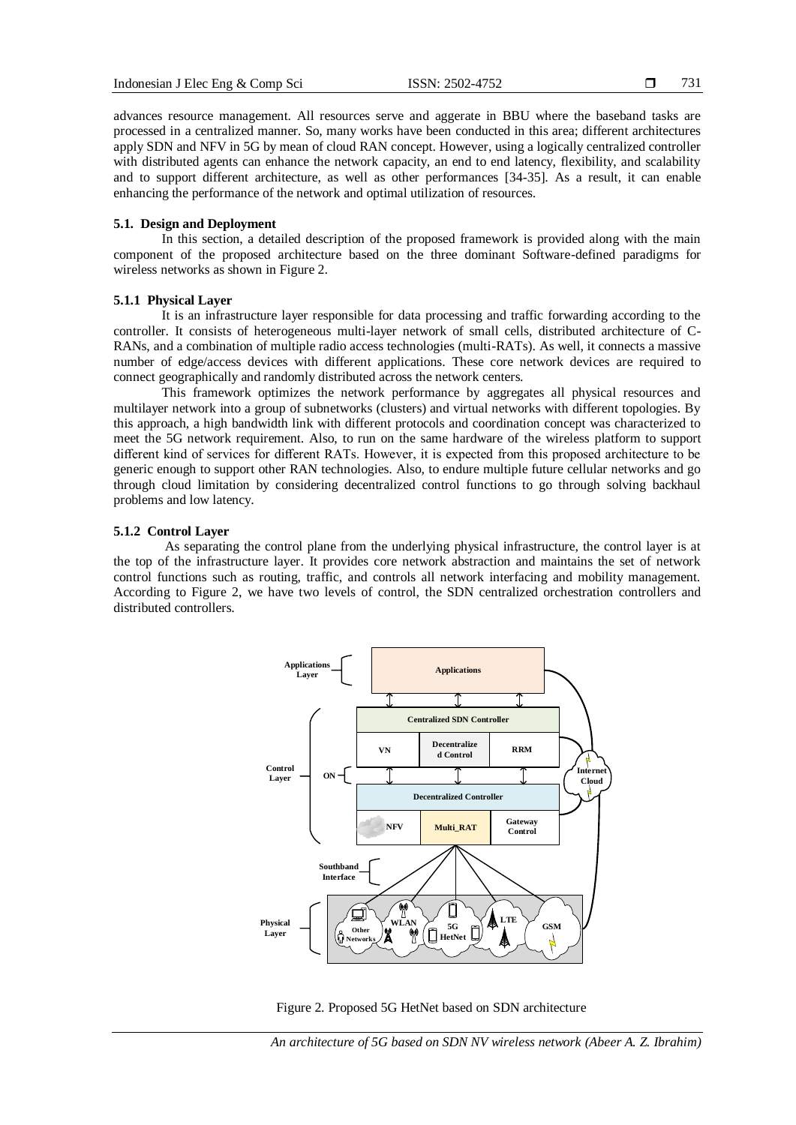advances resource management. All resources serve and aggerate in BBU where the baseband tasks are processed in a centralized manner. So, many works have been conducted in this area; different architectures apply SDN and NFV in 5G by mean of cloud RAN concept. However, using a logically centralized controller with distributed agents can enhance the network capacity, an end to end latency, flexibility, and scalability and to support different architecture, as well as other performances [34-35]. As a result, it can enable enhancing the performance of the network and optimal utilization of resources.

#### **5.1. Design and Deployment**

In this section, a detailed description of the proposed framework is provided along with the main component of the proposed architecture based on the three dominant Software-defined paradigms for wireless networks as shown in Figure 2.

# **5.1.1 Physical Layer**

It is an infrastructure layer responsible for data processing and traffic forwarding according to the controller. It consists of heterogeneous multi-layer network of small cells, distributed architecture of C-RANs, and a combination of multiple radio access technologies (multi-RATs). As well, it connects a massive number of edge/access devices with different applications. These core network devices are required to connect geographically and randomly distributed across the network centers.

This framework optimizes the network performance by aggregates all physical resources and multilayer network into a group of subnetworks (clusters) and virtual networks with different topologies. By this approach, a high bandwidth link with different protocols and coordination concept was characterized to meet the 5G network requirement. Also, to run on the same hardware of the wireless platform to support different kind of services for different RATs. However, it is expected from this proposed architecture to be generic enough to support other RAN technologies. Also, to endure multiple future cellular networks and go through cloud limitation by considering decentralized control functions to go through solving backhaul problems and low latency.

# **5.1.2 Control Layer**

As separating the control plane from the underlying physical infrastructure, the control layer is at the top of the infrastructure layer. It provides core network abstraction and maintains the set of network control functions such as routing, traffic, and controls all network interfacing and mobility management. According to Figure 2, we have two levels of control, the SDN centralized orchestration controllers and distributed controllers.



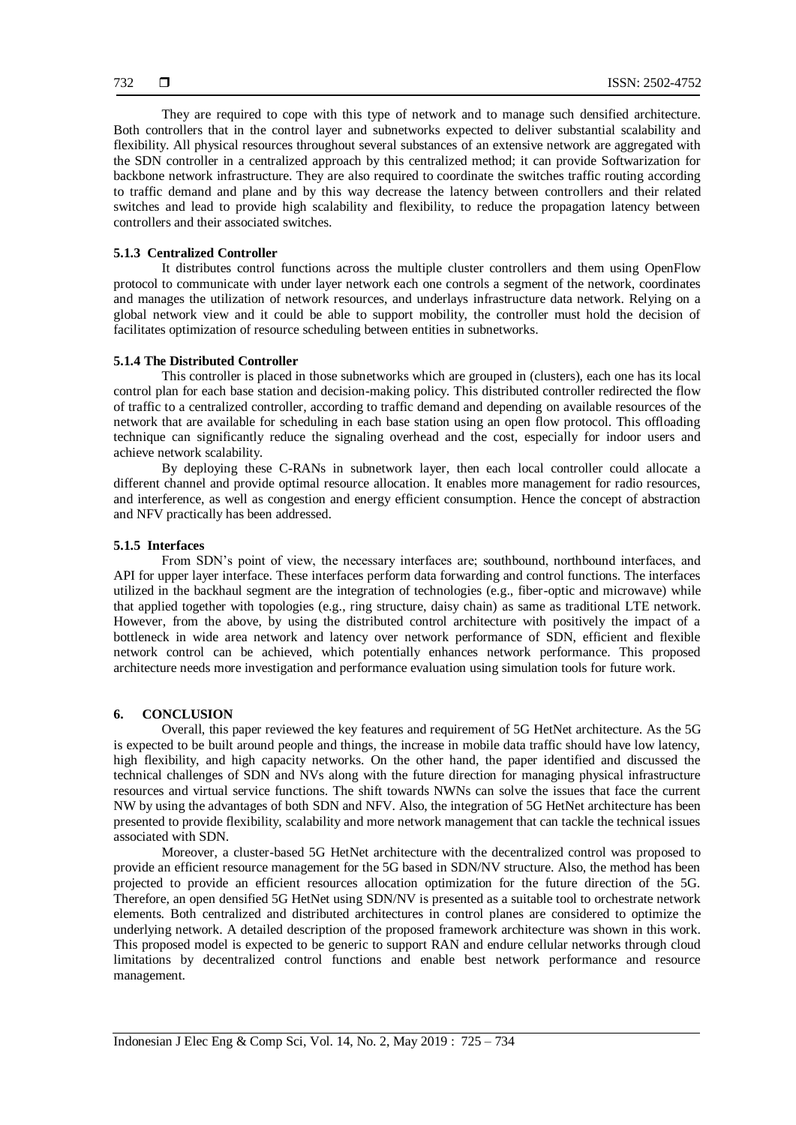They are required to cope with this type of network and to manage such densified architecture. Both controllers that in the control layer and subnetworks expected to deliver substantial scalability and flexibility. All physical resources throughout several substances of an extensive network are aggregated with the SDN controller in a centralized approach by this centralized method; it can provide Softwarization for backbone network infrastructure. They are also required to coordinate the switches traffic routing according to traffic demand and plane and by this way decrease the latency between controllers and their related switches and lead to provide high scalability and flexibility, to reduce the propagation latency between controllers and their associated switches.

# **5.1.3 Centralized Controller**

It distributes control functions across the multiple cluster controllers and them using OpenFlow protocol to communicate with under layer network each one controls a segment of the network, coordinates and manages the utilization of network resources, and underlays infrastructure data network. Relying on a global network view and it could be able to support mobility, the controller must hold the decision of facilitates optimization of resource scheduling between entities in subnetworks.

#### **5.1.4 The Distributed Controller**

This controller is placed in those subnetworks which are grouped in (clusters), each one has its local control plan for each base station and decision-making policy. This distributed controller redirected the flow of traffic to a centralized controller, according to traffic demand and depending on available resources of the network that are available for scheduling in each base station using an open flow protocol. This offloading technique can significantly reduce the signaling overhead and the cost, especially for indoor users and achieve network scalability.

By deploying these C-RANs in subnetwork layer, then each local controller could allocate a different channel and provide optimal resource allocation. It enables more management for radio resources, and interference, as well as congestion and energy efficient consumption. Hence the concept of abstraction and NFV practically has been addressed.

#### **5.1.5 Interfaces**

From SDN"s point of view, the necessary interfaces are; southbound, northbound interfaces, and API for upper layer interface. These interfaces perform data forwarding and control functions. The interfaces utilized in the backhaul segment are the integration of technologies (e.g., fiber-optic and microwave) while that applied together with topologies (e.g., ring structure, daisy chain) as same as traditional LTE network. However, from the above, by using the distributed control architecture with positively the impact of a bottleneck in wide area network and latency over network performance of SDN, efficient and flexible network control can be achieved, which potentially enhances network performance. This proposed architecture needs more investigation and performance evaluation using simulation tools for future work.

#### **6. CONCLUSION**

Overall, this paper reviewed the key features and requirement of 5G HetNet architecture. As the 5G is expected to be built around people and things, the increase in mobile data traffic should have low latency, high flexibility, and high capacity networks. On the other hand, the paper identified and discussed the technical challenges of SDN and NVs along with the future direction for managing physical infrastructure resources and virtual service functions. The shift towards NWNs can solve the issues that face the current NW by using the advantages of both SDN and NFV. Also, the integration of 5G HetNet architecture has been presented to provide flexibility, scalability and more network management that can tackle the technical issues associated with SDN.

Moreover, a cluster-based 5G HetNet architecture with the decentralized control was proposed to provide an efficient resource management for the 5G based in SDN/NV structure. Also, the method has been projected to provide an efficient resources allocation optimization for the future direction of the 5G. Therefore, an open densified 5G HetNet using SDN/NV is presented as a suitable tool to orchestrate network elements. Both centralized and distributed architectures in control planes are considered to optimize the underlying network. A detailed description of the proposed framework architecture was shown in this work. This proposed model is expected to be generic to support RAN and endure cellular networks through cloud limitations by decentralized control functions and enable best network performance and resource management.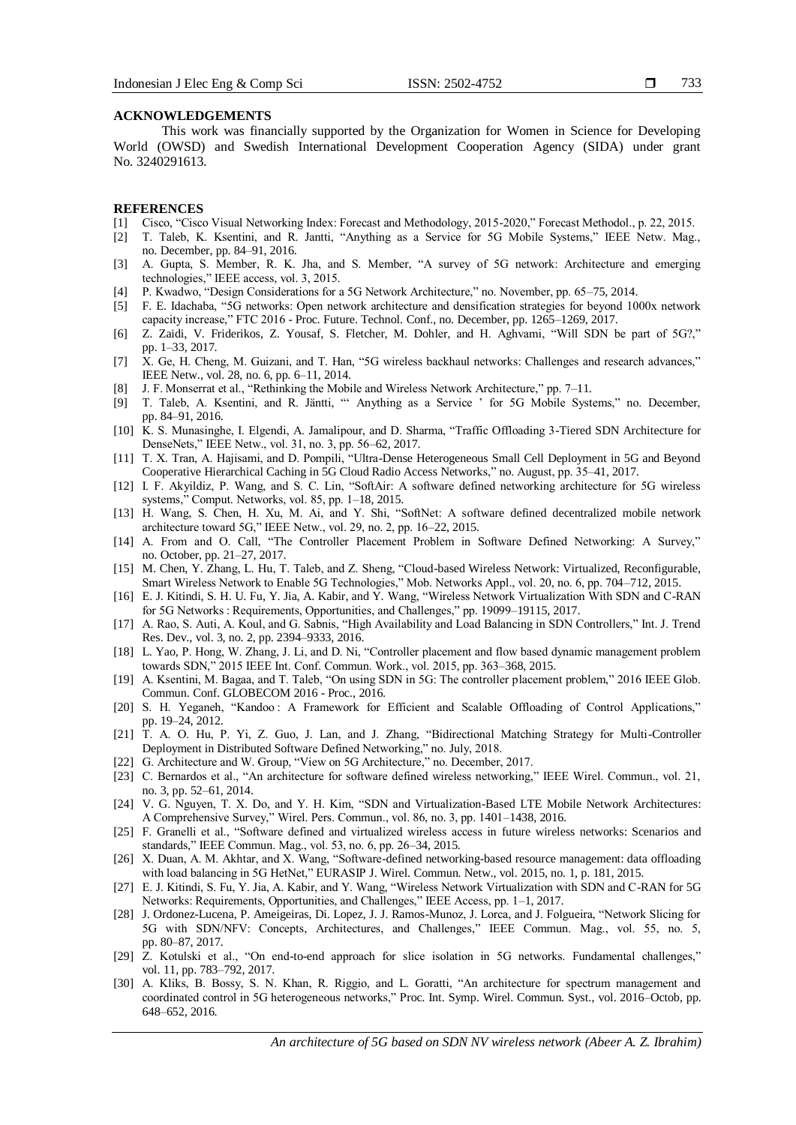#### **ACKNOWLEDGEMENTS**

This work was financially supported by the Organization for Women in Science for Developing World (OWSD) and Swedish International Development Cooperation Agency (SIDA) under grant No. 3240291613.

#### **REFERENCES**

- [1] Cisco, "Cisco Visual Networking Index: Forecast and Methodology, 2015-2020," Forecast Methodol., p. 22, 2015.
- [2] T. Taleb, K. Ksentini, and R. Jantti, "Anything as a Service for 5G Mobile Systems," IEEE Netw. Mag., no. December, pp. 84–91, 2016.
- [3] A. Gupta, S. Member, R. K. Jha, and S. Member, "A survey of 5G network: Architecture and emerging technologies," IEEE access, vol. 3, 2015.
- [4] P. Kwadwo, "Design Considerations for a 5G Network Architecture," no. November, pp. 65–75, 2014.
- [5] F. E. Idachaba, "5G networks: Open network architecture and densification strategies for beyond 1000x network capacity increase," FTC 2016 - Proc. Future. Technol. Conf., no. December, pp. 1265–1269, 2017.
- [6] Z. Zaidi, V. Friderikos, Z. Yousaf, S. Fletcher, M. Dohler, and H. Aghvami, "Will SDN be part of 5G?," pp. 1–33, 2017.
- [7] X. Ge, H. Cheng, M. Guizani, and T. Han, "5G wireless backhaul networks: Challenges and research advances," IEEE Netw., vol. 28, no. 6, pp. 6–11, 2014.
- [8] J. F. Monserrat et al., "Rethinking the Mobile and Wireless Network Architecture," pp. 7–11.
- [9] T. Taleb, A. Ksentini, and R. Jäntti, "" Anything as a Service " for 5G Mobile Systems," no. December, pp. 84–91, 2016.
- [10] K. S. Munasinghe, I. Elgendi, A. Jamalipour, and D. Sharma, "Traffic Offloading 3-Tiered SDN Architecture for DenseNets," IEEE Netw., vol. 31, no. 3, pp. 56–62, 2017.
- [11] T. X. Tran, A. Hajisami, and D. Pompili, "Ultra-Dense Heterogeneous Small Cell Deployment in 5G and Beyond Cooperative Hierarchical Caching in 5G Cloud Radio Access Networks," no. August, pp. 35–41, 2017.
- [12] I. F. Akyildiz, P. Wang, and S. C. Lin, "SoftAir: A software defined networking architecture for 5G wireless systems," Comput. Networks, vol. 85, pp. 1–18, 2015.
- [13] H. Wang, S. Chen, H. Xu, M. Ai, and Y. Shi, "SoftNet: A software defined decentralized mobile network architecture toward 5G," IEEE Netw., vol. 29, no. 2, pp. 16–22, 2015.
- [14] A. From and O. Call, "The Controller Placement Problem in Software Defined Networking: A Survey," no. October, pp. 21–27, 2017.
- [15] M. Chen, Y. Zhang, L. Hu, T. Taleb, and Z. Sheng, "Cloud-based Wireless Network: Virtualized, Reconfigurable, Smart Wireless Network to Enable 5G Technologies," Mob. Networks Appl., vol. 20, no. 6, pp. 704–712, 2015.
- [16] E. J. Kitindi, S. H. U. Fu, Y. Jia, A. Kabir, and Y. Wang, "Wireless Network Virtualization With SDN and C-RAN for 5G Networks : Requirements, Opportunities, and Challenges," pp. 19099–19115, 2017.
- [17] A. Rao, S. Auti, A. Koul, and G. Sabnis, "High Availability and Load Balancing in SDN Controllers," Int. J. Trend Res. Dev., vol. 3, no. 2, pp. 2394–9333, 2016.
- [18] L. Yao, P. Hong, W. Zhang, J. Li, and D. Ni, "Controller placement and flow based dynamic management problem towards SDN," 2015 IEEE Int. Conf. Commun. Work., vol. 2015, pp. 363–368, 2015.
- [19] A. Ksentini, M. Bagaa, and T. Taleb, "On using SDN in 5G: The controller placement problem," 2016 IEEE Glob. Commun. Conf. GLOBECOM 2016 - Proc., 2016.
- [20] S. H. Yeganeh, "Kandoo: A Framework for Efficient and Scalable Offloading of Control Applications," pp. 19–24, 2012.
- [21] T. A. O. Hu, P. Yi, Z. Guo, J. Lan, and J. Zhang, "Bidirectional Matching Strategy for Multi-Controller Deployment in Distributed Software Defined Networking," no. July, 2018.
- [22] G. Architecture and W. Group, "View on 5G Architecture," no. December, 2017.
- [23] C. Bernardos et al., "An architecture for software defined wireless networking," IEEE Wirel. Commun., vol. 21, no. 3, pp. 52–61, 2014.
- [24] V. G. Nguyen, T. X. Do, and Y. H. Kim, "SDN and Virtualization-Based LTE Mobile Network Architectures: A Comprehensive Survey," Wirel. Pers. Commun., vol. 86, no. 3, pp. 1401–1438, 2016.
- [25] F. Granelli et al., "Software defined and virtualized wireless access in future wireless networks: Scenarios and standards," IEEE Commun. Mag., vol. 53, no. 6, pp. 26–34, 2015.
- [26] X. Duan, A. M. Akhtar, and X. Wang, "Software-defined networking-based resource management: data offloading with load balancing in 5G HetNet," EURASIP J. Wirel. Commun. Netw., vol. 2015, no. 1, p. 181, 2015.
- [27] E. J. Kitindi, S. Fu, Y. Jia, A. Kabir, and Y. Wang, "Wireless Network Virtualization with SDN and C-RAN for 5G Networks: Requirements, Opportunities, and Challenges," IEEE Access, pp. 1–1, 2017.
- [28] J. Ordonez-Lucena, P. Ameigeiras, Di. Lopez, J. J. Ramos-Munoz, J. Lorca, and J. Folgueira, "Network Slicing for 5G with SDN/NFV: Concepts, Architectures, and Challenges," IEEE Commun. Mag., vol. 55, no. 5, pp. 80–87, 2017.
- [29] Z. Kotulski et al., "On end-to-end approach for slice isolation in 5G networks. Fundamental challenges," vol. 11, pp. 783–792, 2017.
- [30] A. Kliks, B. Bossy, S. N. Khan, R. Riggio, and L. Goratti, "An architecture for spectrum management and coordinated control in 5G heterogeneous networks," Proc. Int. Symp. Wirel. Commun. Syst., vol. 2016–Octob, pp. 648–652, 2016.